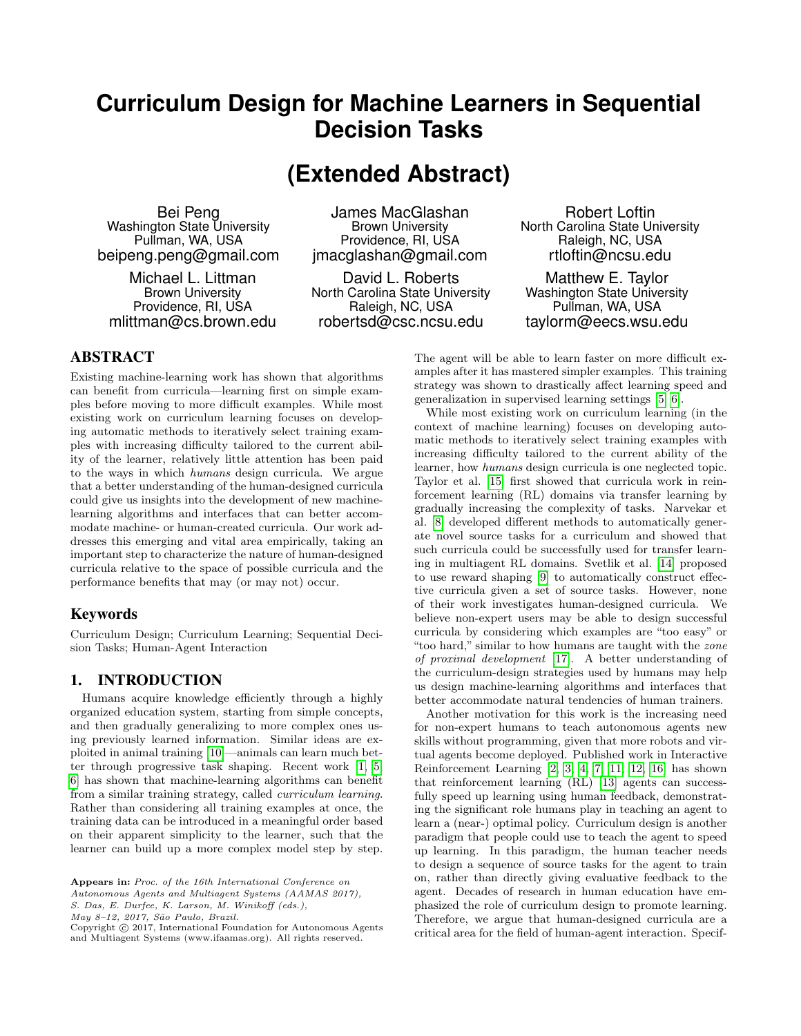# **Curriculum Design for Machine Learners in Sequential Decision Tasks**

# **(Extended Abstract)**

Bei Peng Washington State University Pullman, WA, USA beipeng.peng@gmail.com

Michael L. Littman Brown University Providence, RI, USA mlittman@cs.brown.edu

James MacGlashan Brown University Providence, RI, USA jmacglashan@gmail.com

David L. Roberts North Carolina State University Raleigh, NC, USA robertsd@csc.ncsu.edu

Robert Loftin North Carolina State University Raleigh, NC, USA rtloftin@ncsu.edu

Matthew E. Taylor Washington State University Pullman, WA, USA taylorm@eecs.wsu.edu

## ABSTRACT

Existing machine-learning work has shown that algorithms can benefit from curricula—learning first on simple examples before moving to more difficult examples. While most existing work on curriculum learning focuses on developing automatic methods to iteratively select training examples with increasing difficulty tailored to the current ability of the learner, relatively little attention has been paid to the ways in which humans design curricula. We argue that a better understanding of the human-designed curricula could give us insights into the development of new machinelearning algorithms and interfaces that can better accommodate machine- or human-created curricula. Our work addresses this emerging and vital area empirically, taking an important step to characterize the nature of human-designed curricula relative to the space of possible curricula and the performance benefits that may (or may not) occur.

#### Keywords

Curriculum Design; Curriculum Learning; Sequential Decision Tasks; Human-Agent Interaction

### 1. INTRODUCTION

Humans acquire knowledge efficiently through a highly organized education system, starting from simple concepts, and then gradually generalizing to more complex ones using previously learned information. Similar ideas are exploited in animal training [\[10\]](#page-2-0)—animals can learn much better through progressive task shaping. Recent work [\[1,](#page-2-1) [5,](#page-2-2) [6\]](#page-2-3) has shown that machine-learning algorithms can benefit from a similar training strategy, called curriculum learning. Rather than considering all training examples at once, the training data can be introduced in a meaningful order based on their apparent simplicity to the learner, such that the learner can build up a more complex model step by step.

Autonomous Agents and Multiagent Systems (AAMAS 2017),

S. Das, E. Durfee, K. Larson, M. Winikoff (eds.),

May 8-12, 2017, São Paulo, Brazil.

The agent will be able to learn faster on more difficult examples after it has mastered simpler examples. This training strategy was shown to drastically affect learning speed and generalization in supervised learning settings [\[5,](#page-2-2) [6\]](#page-2-3).

While most existing work on curriculum learning (in the context of machine learning) focuses on developing automatic methods to iteratively select training examples with increasing difficulty tailored to the current ability of the learner, how humans design curricula is one neglected topic. Taylor et al. [\[15\]](#page-2-4) first showed that curricula work in reinforcement learning (RL) domains via transfer learning by gradually increasing the complexity of tasks. Narvekar et al. [\[8\]](#page-2-5) developed different methods to automatically generate novel source tasks for a curriculum and showed that such curricula could be successfully used for transfer learning in multiagent RL domains. Svetlik et al. [\[14\]](#page-2-6) proposed to use reward shaping [\[9\]](#page-2-7) to automatically construct effective curricula given a set of source tasks. However, none of their work investigates human-designed curricula. We believe non-expert users may be able to design successful curricula by considering which examples are "too easy" or "too hard," similar to how humans are taught with the zone of proximal development [\[17\]](#page-2-8). A better understanding of the curriculum-design strategies used by humans may help us design machine-learning algorithms and interfaces that better accommodate natural tendencies of human trainers.

Another motivation for this work is the increasing need for non-expert humans to teach autonomous agents new skills without programming, given that more robots and virtual agents become deployed. Published work in Interactive Reinforcement Learning  $[2, 3, 4, 7, 11, 12, 16]$  $[2, 3, 4, 7, 11, 12, 16]$  $[2, 3, 4, 7, 11, 12, 16]$  $[2, 3, 4, 7, 11, 12, 16]$  $[2, 3, 4, 7, 11, 12, 16]$  $[2, 3, 4, 7, 11, 12, 16]$  $[2, 3, 4, 7, 11, 12, 16]$  has shown that reinforcement learning (RL) [\[13\]](#page-2-16) agents can successfully speed up learning using human feedback, demonstrating the significant role humans play in teaching an agent to learn a (near-) optimal policy. Curriculum design is another paradigm that people could use to teach the agent to speed up learning. In this paradigm, the human teacher needs to design a sequence of source tasks for the agent to train on, rather than directly giving evaluative feedback to the agent. Decades of research in human education have emphasized the role of curriculum design to promote learning. Therefore, we argue that human-designed curricula are a critical area for the field of human-agent interaction. Specif-

Appears in: Proc. of the 16th International Conference on

Copyright © 2017, International Foundation for Autonomous Agents and Multiagent Systems (www.ifaamas.org). All rights reserved.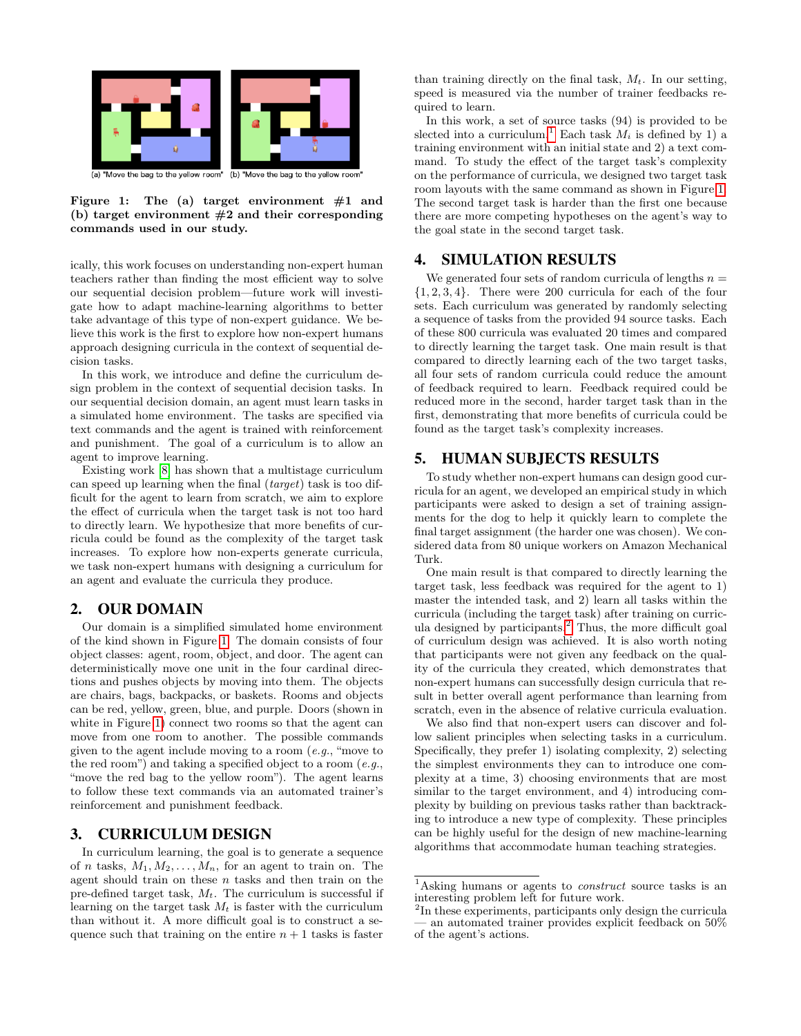

<span id="page-1-0"></span>Figure 1: The (a) target environment  $#1$  and (b) target environment  $#2$  and their corresponding commands used in our study.

ically, this work focuses on understanding non-expert human teachers rather than finding the most efficient way to solve our sequential decision problem—future work will investigate how to adapt machine-learning algorithms to better take advantage of this type of non-expert guidance. We believe this work is the first to explore how non-expert humans approach designing curricula in the context of sequential decision tasks.

In this work, we introduce and define the curriculum design problem in the context of sequential decision tasks. In our sequential decision domain, an agent must learn tasks in a simulated home environment. The tasks are specified via text commands and the agent is trained with reinforcement and punishment. The goal of a curriculum is to allow an agent to improve learning.

Existing work [\[8\]](#page-2-5) has shown that a multistage curriculum can speed up learning when the final (target) task is too difficult for the agent to learn from scratch, we aim to explore the effect of curricula when the target task is not too hard to directly learn. We hypothesize that more benefits of curricula could be found as the complexity of the target task increases. To explore how non-experts generate curricula, we task non-expert humans with designing a curriculum for an agent and evaluate the curricula they produce.

#### 2. OUR DOMAIN

Our domain is a simplified simulated home environment of the kind shown in Figure [1.](#page-1-0) The domain consists of four object classes: agent, room, object, and door. The agent can deterministically move one unit in the four cardinal directions and pushes objects by moving into them. The objects are chairs, bags, backpacks, or baskets. Rooms and objects can be red, yellow, green, blue, and purple. Doors (shown in white in Figure [1\)](#page-1-0) connect two rooms so that the agent can move from one room to another. The possible commands given to the agent include moving to a room (e.g., "move to the red room") and taking a specified object to a room  $(e.g.,)$ "move the red bag to the yellow room"). The agent learns to follow these text commands via an automated trainer's reinforcement and punishment feedback.

## 3. CURRICULUM DESIGN

In curriculum learning, the goal is to generate a sequence of n tasks,  $M_1, M_2, \ldots, M_n$ , for an agent to train on. The agent should train on these  $n$  tasks and then train on the pre-defined target task,  $M_t$ . The curriculum is successful if learning on the target task  $M_t$  is faster with the curriculum than without it. A more difficult goal is to construct a sequence such that training on the entire  $n + 1$  tasks is faster

than training directly on the final task,  $M_t$ . In our setting, speed is measured via the number of trainer feedbacks required to learn.

In this work, a set of source tasks (94) is provided to be slected into a curriculum.<sup>[1](#page-1-1)</sup> Each task  $M_i$  is defined by 1) a training environment with an initial state and 2) a text command. To study the effect of the target task's complexity on the performance of curricula, we designed two target task room layouts with the same command as shown in Figure [1.](#page-1-0) The second target task is harder than the first one because there are more competing hypotheses on the agent's way to the goal state in the second target task.

## 4. SIMULATION RESULTS

We generated four sets of random curricula of lengths  $n =$  $\{1, 2, 3, 4\}$ . There were 200 curricula for each of the four sets. Each curriculum was generated by randomly selecting a sequence of tasks from the provided 94 source tasks. Each of these 800 curricula was evaluated 20 times and compared to directly learning the target task. One main result is that compared to directly learning each of the two target tasks, all four sets of random curricula could reduce the amount of feedback required to learn. Feedback required could be reduced more in the second, harder target task than in the first, demonstrating that more benefits of curricula could be found as the target task's complexity increases.

### 5. HUMAN SUBJECTS RESULTS

To study whether non-expert humans can design good curricula for an agent, we developed an empirical study in which participants were asked to design a set of training assignments for the dog to help it quickly learn to complete the final target assignment (the harder one was chosen). We considered data from 80 unique workers on Amazon Mechanical Turk.

One main result is that compared to directly learning the target task, less feedback was required for the agent to 1) master the intended task, and 2) learn all tasks within the curricula (including the target task) after training on curricula designed by participants.[2](#page-1-2) Thus, the more difficult goal of curriculum design was achieved. It is also worth noting that participants were not given any feedback on the quality of the curricula they created, which demonstrates that non-expert humans can successfully design curricula that result in better overall agent performance than learning from scratch, even in the absence of relative curricula evaluation.

We also find that non-expert users can discover and follow salient principles when selecting tasks in a curriculum. Specifically, they prefer 1) isolating complexity, 2) selecting the simplest environments they can to introduce one complexity at a time, 3) choosing environments that are most similar to the target environment, and 4) introducing complexity by building on previous tasks rather than backtracking to introduce a new type of complexity. These principles can be highly useful for the design of new machine-learning algorithms that accommodate human teaching strategies.

<span id="page-1-1"></span><sup>&</sup>lt;sup>1</sup>Asking humans or agents to *construct* source tasks is an interesting problem left for future work.

<span id="page-1-2"></span><sup>&</sup>lt;sup>2</sup>In these experiments, participants only design the curricula — an automated trainer provides explicit feedback on 50% of the agent's actions.